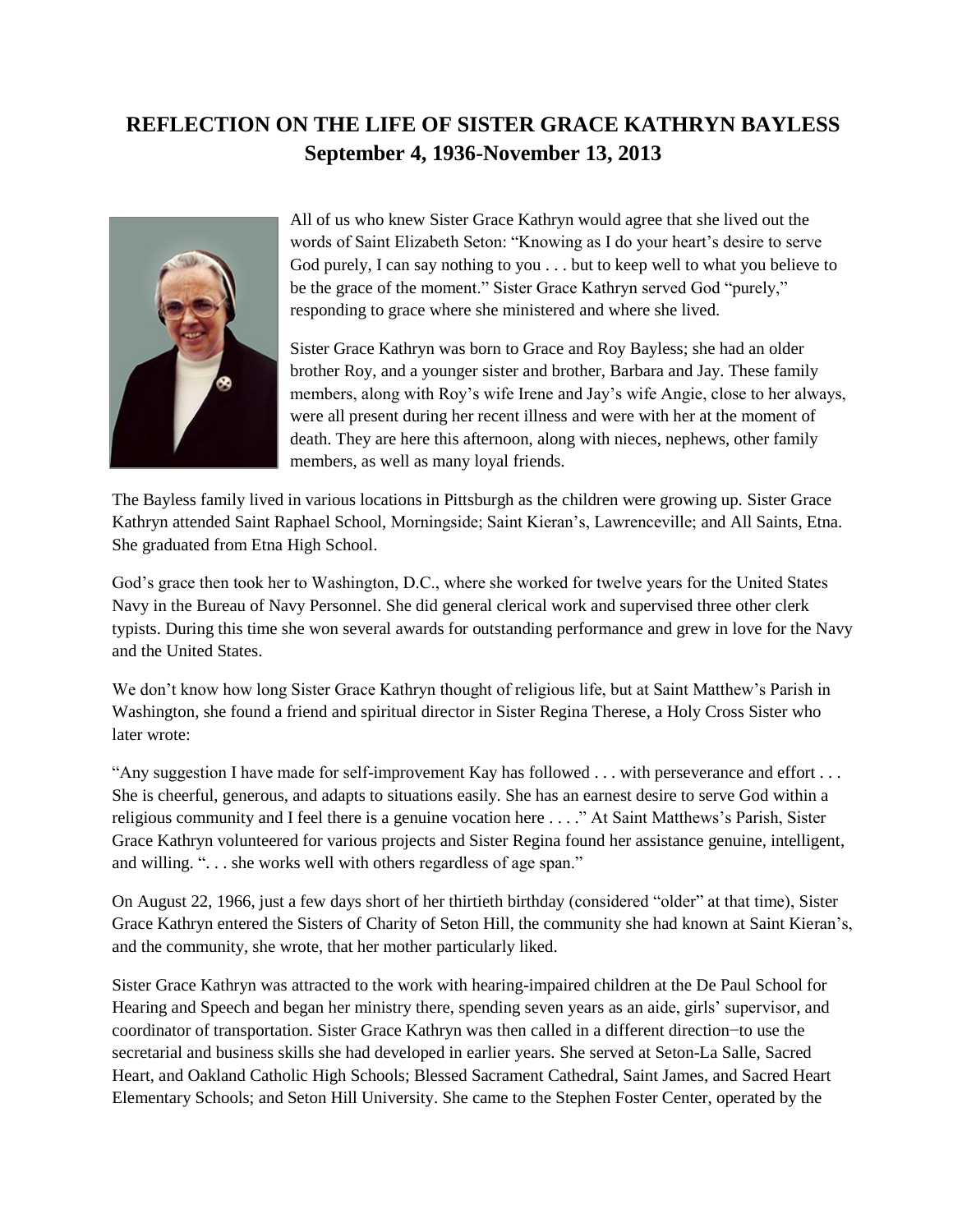## **REFLECTION ON THE LIFE OF SISTER GRACE KATHRYN BAYLESS September 4, 1936-November 13, 2013**



All of us who knew Sister Grace Kathryn would agree that she lived out the words of Saint Elizabeth Seton: "Knowing as I do your heart's desire to serve God purely, I can say nothing to you . . . but to keep well to what you believe to be the grace of the moment." Sister Grace Kathryn served God "purely," responding to grace where she ministered and where she lived.

Sister Grace Kathryn was born to Grace and Roy Bayless; she had an older brother Roy, and a younger sister and brother, Barbara and Jay. These family members, along with Roy's wife Irene and Jay's wife Angie, close to her always, were all present during her recent illness and were with her at the moment of death. They are here this afternoon, along with nieces, nephews, other family members, as well as many loyal friends.

The Bayless family lived in various locations in Pittsburgh as the children were growing up. Sister Grace Kathryn attended Saint Raphael School, Morningside; Saint Kieran's, Lawrenceville; and All Saints, Etna. She graduated from Etna High School.

God's grace then took her to Washington, D.C., where she worked for twelve years for the United States Navy in the Bureau of Navy Personnel. She did general clerical work and supervised three other clerk typists. During this time she won several awards for outstanding performance and grew in love for the Navy and the United States.

We don't know how long Sister Grace Kathryn thought of religious life, but at Saint Matthew's Parish in Washington, she found a friend and spiritual director in Sister Regina Therese, a Holy Cross Sister who later wrote:

"Any suggestion I have made for self-improvement Kay has followed . . . with perseverance and effort . . . She is cheerful, generous, and adapts to situations easily. She has an earnest desire to serve God within a religious community and I feel there is a genuine vocation here . . . ." At Saint Matthews's Parish, Sister Grace Kathryn volunteered for various projects and Sister Regina found her assistance genuine, intelligent, and willing. ". . . she works well with others regardless of age span."

On August 22, 1966, just a few days short of her thirtieth birthday (considered "older" at that time), Sister Grace Kathryn entered the Sisters of Charity of Seton Hill, the community she had known at Saint Kieran's, and the community, she wrote, that her mother particularly liked.

Sister Grace Kathryn was attracted to the work with hearing-impaired children at the De Paul School for Hearing and Speech and began her ministry there, spending seven years as an aide, girls' supervisor, and coordinator of transportation. Sister Grace Kathryn was then called in a different direction−to use the secretarial and business skills she had developed in earlier years. She served at Seton-La Salle, Sacred Heart, and Oakland Catholic High Schools; Blessed Sacrament Cathedral, Saint James, and Sacred Heart Elementary Schools; and Seton Hill University. She came to the Stephen Foster Center, operated by the